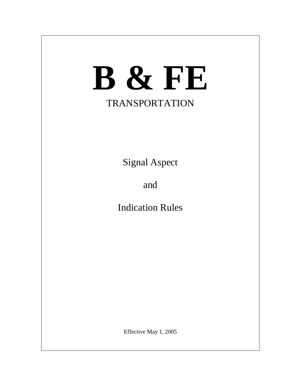## **B & FE**  TRANSPORTATION

Signal Aspect

and

Indication Rules

Effective May 1, 2005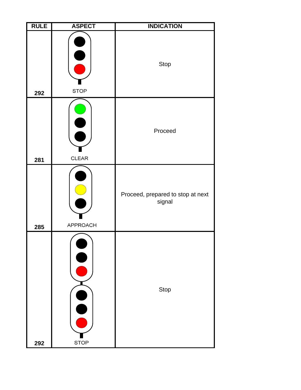| <b>RULE</b> | <b>ASPECT</b>                                                   | <b>INDICATION</b>                           |
|-------------|-----------------------------------------------------------------|---------------------------------------------|
| 292         | $\begin{matrix} \bullet \\ \bullet \end{matrix}$<br><b>STOP</b> | Stop                                        |
|             |                                                                 |                                             |
| 281         | ٥<br>$\sum_{i=1}^{n}$<br><b>CLEAR</b>                           | Proceed                                     |
| 285         | APPROACH                                                        | Proceed, prepared to stop at next<br>signal |
| 292         | <b>STOP</b>                                                     | <b>Stop</b>                                 |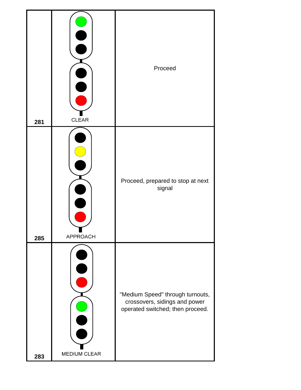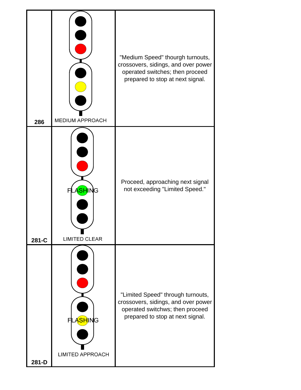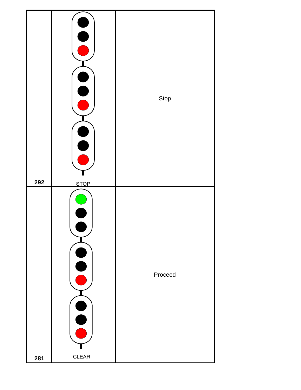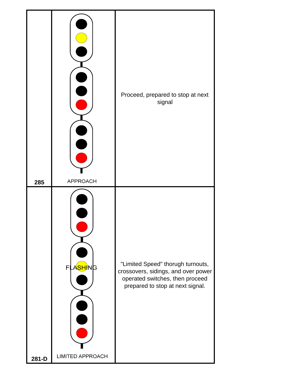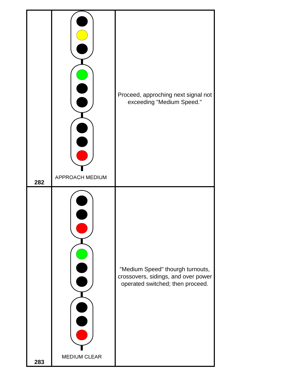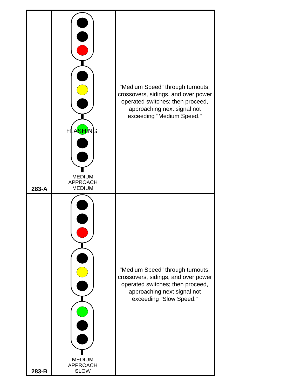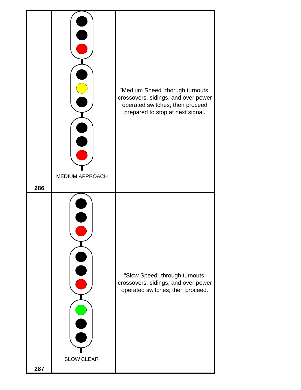